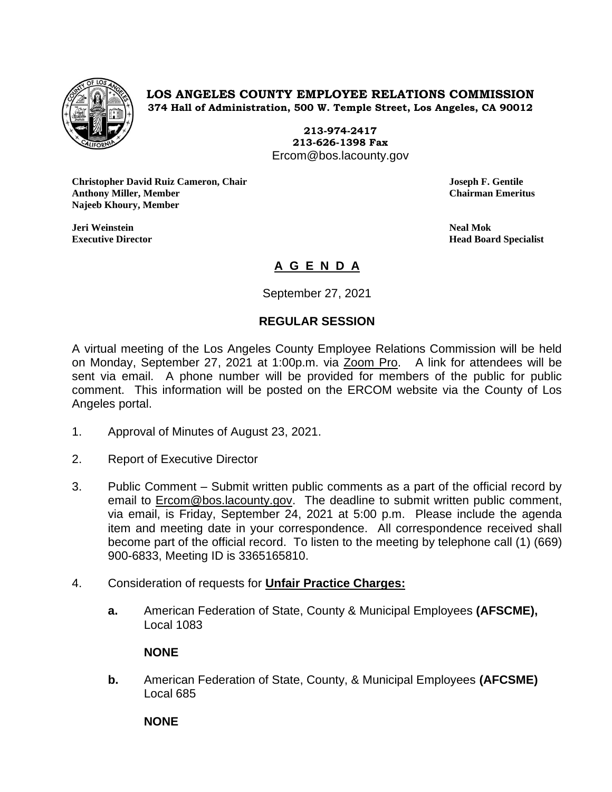

**LOS ANGELES COUNTY EMPLOYEE RELATIONS COMMISSION 374 Hall of Administration, 500 W. Temple Street, Los Angeles, CA 90012**

> **213-974-2417 213-626-1398 Fax** Ercom@bos.lacounty.gov

**Christopher David Ruiz Cameron, Chair Joseph F. Gentile Anthony Miller, Member Chairman Emeritus Najeeb Khoury, Member**

**Jeri Weinstein Neal Mok**

**Executive Director Head Board Specialist**

## **A G E N D A**

September 27, 2021

## **REGULAR SESSION**

A virtual meeting of the Los Angeles County Employee Relations Commission will be held on Monday, September 27, 2021 at 1:00p.m. via Zoom Pro. A link for attendees will be sent via email. A phone number will be provided for members of the public for public comment. This information will be posted on the ERCOM website via the County of Los Angeles portal.

- 1. Approval of Minutes of August 23, 2021.
- 2. Report of Executive Director
- 3. Public Comment Submit written public comments as a part of the official record by email to **Ercom@bos.lacounty.gov.** The deadline to submit written public comment, via email, is Friday, September 24, 2021 at 5:00 p.m. Please include the agenda item and meeting date in your correspondence. All correspondence received shall become part of the official record. To listen to the meeting by telephone call (1) (669) 900-6833, Meeting ID is 3365165810.
- 4. Consideration of requests for **Unfair Practice Charges:**
	- **a.** American Federation of State, County & Municipal Employees **(AFSCME),** Local 1083

## **NONE**

**b.** American Federation of State, County, & Municipal Employees **(AFCSME)** Local 685

**NONE**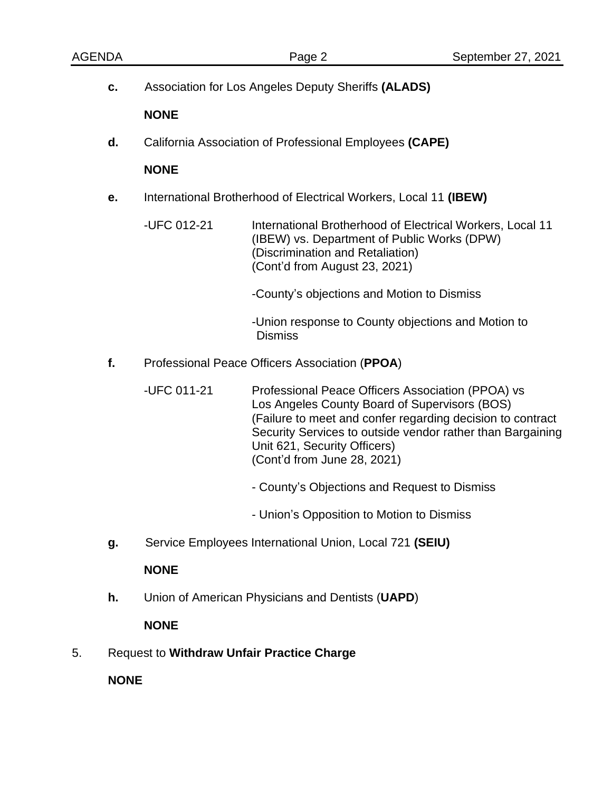| <b>AGENDA</b> |                                                                    | Page 2                                                                                                                                                                                                                                                                                        | September 27, 2021                                        |  |  |  |
|---------------|--------------------------------------------------------------------|-----------------------------------------------------------------------------------------------------------------------------------------------------------------------------------------------------------------------------------------------------------------------------------------------|-----------------------------------------------------------|--|--|--|
| c.            | Association for Los Angeles Deputy Sheriffs (ALADS)<br><b>NONE</b> |                                                                                                                                                                                                                                                                                               |                                                           |  |  |  |
|               |                                                                    |                                                                                                                                                                                                                                                                                               |                                                           |  |  |  |
| d.            | California Association of Professional Employees (CAPE)            |                                                                                                                                                                                                                                                                                               |                                                           |  |  |  |
|               | <b>NONE</b>                                                        |                                                                                                                                                                                                                                                                                               |                                                           |  |  |  |
| е.            | International Brotherhood of Electrical Workers, Local 11 (IBEW)   |                                                                                                                                                                                                                                                                                               |                                                           |  |  |  |
|               | -UFC 012-21                                                        | (IBEW) vs. Department of Public Works (DPW)<br>(Discrimination and Retaliation)<br>(Cont'd from August 23, 2021)                                                                                                                                                                              | International Brotherhood of Electrical Workers, Local 11 |  |  |  |
|               |                                                                    | -County's objections and Motion to Dismiss                                                                                                                                                                                                                                                    |                                                           |  |  |  |
|               |                                                                    | -Union response to County objections and Motion to<br><b>Dismiss</b>                                                                                                                                                                                                                          |                                                           |  |  |  |
| f.            |                                                                    | Professional Peace Officers Association (PPOA)                                                                                                                                                                                                                                                |                                                           |  |  |  |
|               | -UFC 011-21                                                        | Professional Peace Officers Association (PPOA) vs<br>Los Angeles County Board of Supervisors (BOS)<br>(Failure to meet and confer regarding decision to contract<br>Security Services to outside vendor rather than Bargaining<br>Unit 621, Security Officers)<br>(Cont'd from June 28, 2021) |                                                           |  |  |  |
|               |                                                                    | - County's Objections and Request to Dismiss                                                                                                                                                                                                                                                  |                                                           |  |  |  |
|               |                                                                    | - Union's Opposition to Motion to Dismiss                                                                                                                                                                                                                                                     |                                                           |  |  |  |
| g.            | Service Employees International Union, Local 721 (SEIU)            |                                                                                                                                                                                                                                                                                               |                                                           |  |  |  |
|               | <b>NONE</b>                                                        |                                                                                                                                                                                                                                                                                               |                                                           |  |  |  |
| h.            |                                                                    | Union of American Physicians and Dentists (UAPD)                                                                                                                                                                                                                                              |                                                           |  |  |  |
|               | <b>NONE</b>                                                        |                                                                                                                                                                                                                                                                                               |                                                           |  |  |  |
| 5.            | <b>Request to Withdraw Unfair Practice Charge</b>                  |                                                                                                                                                                                                                                                                                               |                                                           |  |  |  |

**NONE**